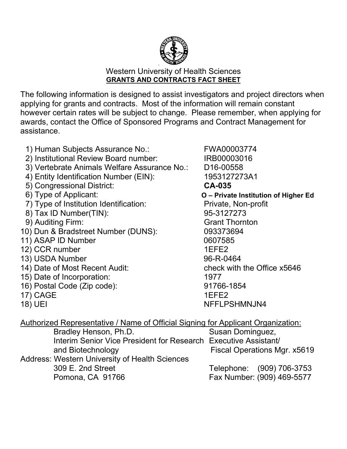

## Western University of Health Sciences **GRANTS AND CONTRACTS FACT SHEET**

The following information is designed to assist investigators and project directors when applying for grants and contracts. Most of the information will remain constant however certain rates will be subject to change. Please remember, when applying for awards, contact the Office of Sponsored Programs and Contract Management for assistance.

- 1) Human Subjects Assurance No.: FWA00003774
- 2) Institutional Review Board number: IRB00003016
- 3) Vertebrate Animals Welfare Assurance No.: D16-00558
- 4) Entity Identification Number (EIN): 1953127273A1
- 5) Congressional District: **CA-035**
- 
- 7) Type of Institution Identification: Private, Non-profit
- 8) Tax ID Number(TIN): 95-3127273
- 9) Auditing Firm: Grant Thornton
- 10) Dun & Bradstreet Number (DUNS): 093373694
- 11) ASAP ID Number 0607585
- 12) CCR number 1EFE2
- 
- 14) Date of Most Recent Audit:
- 15) Date of Incorporation: 1977
- 16) Postal Code (Zip code): 91766-1854
- 17) CAGE 1EFE2
- 

6) Type of Applicant: **O – Private Institution of Higher Ed** 13) USDA Number 96-R-0464<br>14) Date of Most Recent Audit: check with the Office x5646 18) UEI NEFLPSHMNJN4

Authorized Representative / Name of Official Signing for Applicant Organization: Bradley Henson, Ph.D. Susan Dominguez, Interim Senior Vice President for Research Executive Assistant/ and Biotechnology **Fiscal Operations Mgr. x5619** Address: Western University of Health Sciences 309 E. 2nd Street Telephone: (909) 706-3753 Pomona, CA 91766 Fax Number: (909) 469-5577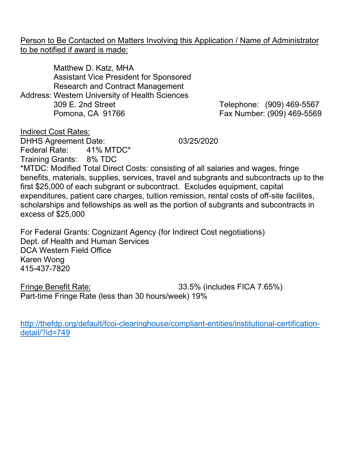Person to Be Contacted on Matters Involving this Application / Name of Administrator to be notified if award is made:

Matthew D. Katz, MHA Assistant Vice President for Sponsored Research and Contract Management Address: Western University of Health Sciences 309 E. 2nd Street Telephone: (909) 469-5567 Pomona, CA 91766 Fax Number: (909) 469-5569

Indirect Cost Rates:

DHHS Agreement Date: 03/25/2020 Federal Rate: 41% MTDC\* Training Grants: 8% TDC

\*MTDC: Modified Total Direct Costs: consisting of all salaries and wages, fringe benefits, materials, supplies, services, travel and subgrants and subcontracts up to the first \$25,000 of each subgrant or subcontract. Excludes equipment, capital expenditures, patient care charges, tuition remission, rental costs of off-site facilites, scholarships and fellowships as well as the portion of subgrants and subcontracts in excess of \$25,000

For Federal Grants: Cognizant Agency (for Indirect Cost negotiations) Dept. of Health and Human Services DCA Western Field Office Karen Wong 415-437-7820

Fringe Benefit Rate: 33.5% (includes FICA 7.65%) Part-time Fringe Rate (less than 30 hours/week) 19%

[http://thefdp.org/default/fcoi-clearinghouse/compliant-entities/institutional-certification](http://thefdp.org/default/fcoi-clearinghouse/compliant-entities/institutional-certification-detail/?id=749)[detail/?id=749](http://thefdp.org/default/fcoi-clearinghouse/compliant-entities/institutional-certification-detail/?id=749)